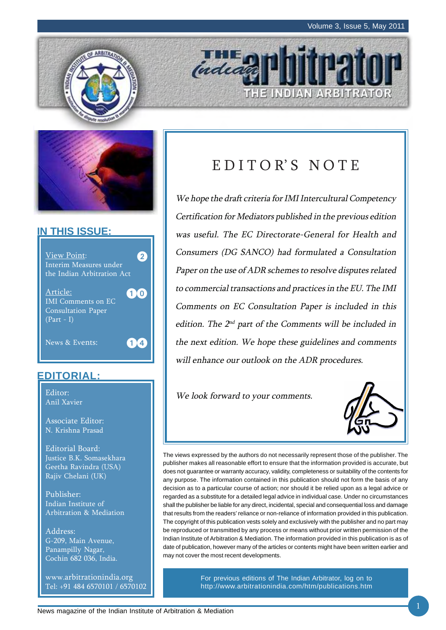HE INDIAN ARBITRATOR





## **IN THIS ISSUE:**



## **EDITORIAL:**

Anil Xavier

Associate Editor: N. Krishna Prasad

Editorial Board: Justice B.K. Somasekhara Geetha Ravindra (USA) Rajiv Chelani (UK)

Publisher: Indian Institute of Arbitration & Mediation

Address: G-209, Main Avenue, Panampilly Nagar, Cochin 682 036, India.

www.arbitrationindia.org Tel: +91 484 6570101 / 6570102

## EDITOR'S NOTE

indead

We hope the draft criteria for IMI Intercultural Competency Certification for Mediators published in the previous edition was useful. The EC Directorate-General for Health and Consumers (DG SANCO) had formulated a Consultation Paper on the use of ADR schemes to resolve disputes related to commercial transactions and practices in the EU. The IMI Comments on EC Consultation Paper is included in this edition. The  $2^{nd}$  part of the Comments will be included in the next edition. We hope these guidelines and comments will enhance our outlook on the ADR procedures.

Editor: Editor: Editor: Editor: Editor: Editor: Editor: Editor: Editor: Editor: Editor: Editor: Editor: Editor: Editor: Editor: Editor: Editor: Editor: Editor: Editor: Editor: Editor: Editor: Editor: Editor: Editor: Editor



The views expressed by the authors do not necessarily represent those of the publisher. The publisher makes all reasonable effort to ensure that the information provided is accurate, but does not guarantee or warranty accuracy, validity, completeness or suitability of the contents for any purpose. The information contained in this publication should not form the basis of any decision as to a particular course of action; nor should it be relied upon as a legal advice or regarded as a substitute for a detailed legal advice in individual case. Under no circumstances shall the publisher be liable for any direct, incidental, special and consequential loss and damage that results from the readers' reliance or non-reliance of information provided in this publication. The copyright of this publication vests solely and exclusively with the publisher and no part may be reproduced or transmitted by any process or means without prior written permission of the Indian Institute of Arbitration & Mediation. The information provided in this publication is as of date of publication, however many of the articles or contents might have been written earlier and may not cover the most recent developments.

> For previous editions of The Indian Arbitrator, log on to http://www.arbitrationindia.com/htm/publications.htm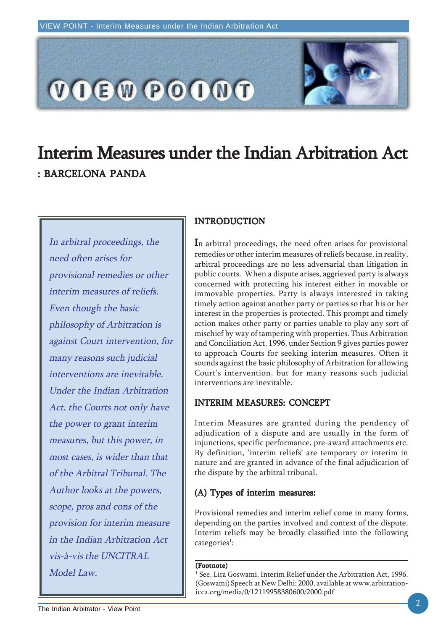

# Interim Measures under the Indian Arbitration Act : BARCELONA PANDA

In arbitral proceedings, the need often arises for provisional remedies or other interim measures of reliefs. Even though the basic philosophy of Arbitration is against Court intervention, for many reasons such judicial interventions are inevitable. Under the Indian Arbitration Act, the Courts not only have the power to grant interim measures, but this power, in most cases, is wider than that of the Arbitral Tribunal. The Author looks at the powers, scope, pros and cons of the provision for interim measure in the Indian Arbitration Act vis-à-vis the UNCITRAL Model Law.

## INTRODUCTION

In arbitral proceedings, the need often arises for provisional remedies or other interim measures of reliefs because, in reality, arbitral proceedings are no less adversarial than litigation in public courts. When a dispute arises, aggrieved party is always concerned with protecting his interest either in movable or immovable properties. Party is always interested in taking timely action against another party or parties so that his or her interest in the properties is protected. This prompt and timely action makes other party or parties unable to play any sort of mischief by way of tampering with properties. Thus Arbitration and Conciliation Act, 1996, under Section 9 gives parties power to approach Courts for seeking interim measures. Often it sounds against the basic philosophy of Arbitration for allowing Court's intervention, but for many reasons such judicial interventions are inevitable.

### INTERIM MEASURES: CONCEPT

Interim Measures are granted during the pendency of adjudication of a dispute and are usually in the form of injunctions, specific performance, pre-award attachments etc. By definition, 'interim reliefs' are temporary or interim in nature and are granted in advance of the final adjudication of the dispute by the arbitral tribunal.

## $(A)$  Types of interim measures:

Provisional remedies and interim relief come in many forms, depending on the parties involved and context of the dispute. Interim reliefs may be broadly classified into the following categories<sup>1</sup>:

#### (Footnote)

1 See, Lira Goswami, Interim Relief under the Arbitration Act, 1996. (Goswami) Speech at New Delhi: 2000, available at www.arbitrationicca.org/media/0/12119958380600/2000.pdf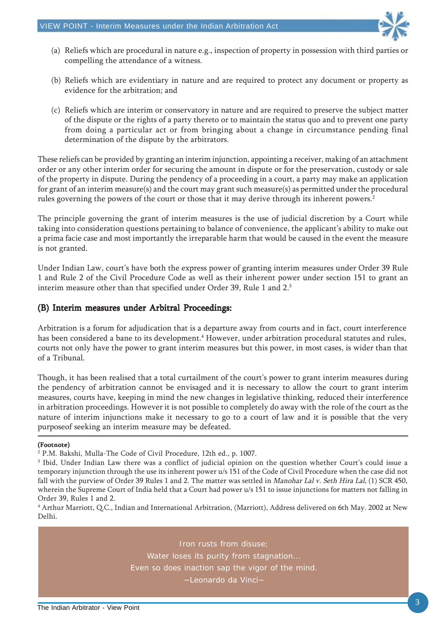

- (a) Reliefs which are procedural in nature e.g., inspection of property in possession with third parties or compelling the attendance of a witness.
- (b) Reliefs which are evidentiary in nature and are required to protect any document or property as evidence for the arbitration; and
- (c) Reliefs which are interim or conservatory in nature and are required to preserve the subject matter of the dispute or the rights of a party thereto or to maintain the status quo and to prevent one party from doing a particular act or from bringing about a change in circumstance pending final determination of the dispute by the arbitrators.

These reliefs can be provided by granting an interim injunction, appointing a receiver, making of an attachment order or any other interim order for securing the amount in dispute or for the preservation, custody or sale of the property in dispute. During the pendency of a proceeding in a court, a party may make an application for grant of an interim measure(s) and the court may grant such measure(s) as permitted under the procedural rules governing the powers of the court or those that it may derive through its inherent powers.<sup>2</sup>

The principle governing the grant of interim measures is the use of judicial discretion by a Court while taking into consideration questions pertaining to balance of convenience, the applicant's ability to make out a prima facie case and most importantly the irreparable harm that would be caused in the event the measure is not granted.

Under Indian Law, court's have both the express power of granting interim measures under Order 39 Rule 1 and Rule 2 of the Civil Procedure Code as well as their inherent power under section 151 to grant an interim measure other than that specified under Order 39, Rule 1 and 2.3

#### (B) Interim measures under Arbitral Proceedings:

Arbitration is a forum for adjudication that is a departure away from courts and in fact, court interference has been considered a bane to its development.<sup>4</sup> However, under arbitration procedural statutes and rules, courts not only have the power to grant interim measures but this power, in most cases, is wider than that of a Tribunal.

Though, it has been realised that a total curtailment of the court's power to grant interim measures during the pendency of arbitration cannot be envisaged and it is necessary to allow the court to grant interim measures, courts have, keeping in mind the new changes in legislative thinking, reduced their interference in arbitration proceedings. However it is not possible to completely do away with the role of the court as the nature of interim injunctions make it necessary to go to a court of law and it is possible that the very purposeof seeking an interim measure may be defeated.

#### (Footnote)

Iron rusts from disuse; Water loses its purity from stagnation... Even so does inaction sap the vigor of the mind. ~Leonardo da Vinci~

<sup>2</sup> P.M. Bakshi, Mulla-The Code of Civil Procedure, 12th ed., p. 1007.

<sup>3</sup> Ibid, Under Indian Law there was a conflict of judicial opinion on the question whether Court's could issue a temporary injunction through the use its inherent power u/s 151 of the Code of Civil Procedure when the case did not fall with the purview of Order 39 Rules 1 and 2. The matter was settled in Manohar Lal v. Seth Hira Lal, (1) SCR 450, wherein the Supreme Court of India held that a Court had power u/s 151 to issue injunctions for matters not falling in Order 39, Rules 1 and 2.

<sup>4</sup> Arthur Marriott, Q.C., Indian and International Arbitration, (Marriott), Address delivered on 6th May. 2002 at New Delhi.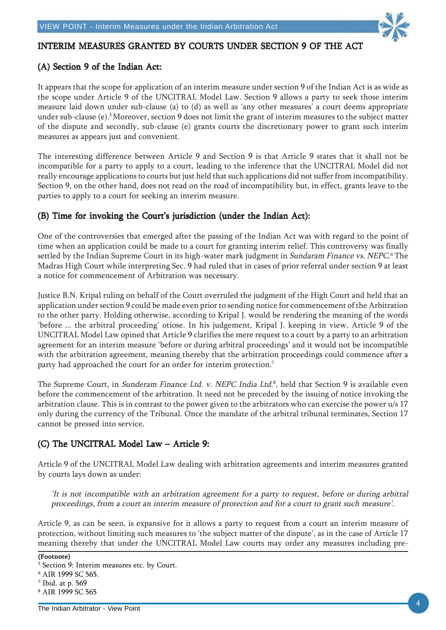

### INTERIM MEASURES GRANTED BY COURTS UNDER SECTION 9 OF THE ACT

#### $(A)$  Section 9 of the Indian Act:

It appears that the scope for application of an interim measure under section 9 of the Indian Act is as wide as the scope under Article 9 of the UNCITRAL Model Law. Section 9 allows a party to seek those interim measure laid down under sub-clause (a) to (d) as well as 'any other measures' a court deems appropriate under sub-clause (e).5 Moreover, section 9 does not limit the grant of interim measures to the subject matter of the dispute and secondly, sub-clause (e) grants courts the discretionary power to grant such interim measures as appears just and convenient.

The interesting difference between Article 9 and Section 9 is that Article 9 states that it shall not be incompatible for a party to apply to a court, leading to the inference that the UNCITRAL Model did not really encourage applications to courts but just held that such applications did not suffer from incompatibility. Section 9, on the other hand, does not read on the road of incompatibility but, in effect, grants leave to the parties to apply to a court for seeking an interim measure.

#### (B) Time for invoking the Court's jurisdiction (under the Indian Act):

One of the controversies that emerged after the passing of the Indian Act was with regard to the point of time when an application could be made to a court for granting interim relief. This controversy was finally settled by the Indian Supreme Court in its high-water mark judgment in Sundaram Finance vs. NEPC.<sup>6</sup> The Madras High Court while interpreting Sec. 9 had ruled that in cases of prior referral under section 9 at least a notice for commencement of Arbitration was necessary.

Justice B.N. Kripal ruling on behalf of the Court overruled the judgment of the High Court and held that an application under section 9 could be made even prior to sending notice for commencement of the Arbitration to the other party. Holding otherwise, according to Kripal J. would be rendering the meaning of the words 'before ... the arbitral proceeding' otiose. In his judgement, Kripal J. keeping in view, Article 9 of the UNCITRAL Model Law opined that Article 9 clarifies the mere request to a court by a party to an arbitration agreement for an interim measure 'before or during arbitral proceedings' and it would not be incompatible with the arbitration agreement, meaning thereby that the arbitration proceedings could commence after a party had approached the court for an order for interim protection.<sup>7</sup>

The Supreme Court, in *Sunderam Finance Ltd. v. NEPC India Ltd*.8, held that Section 9 is available even before the commencement of the arbitration. It need not be preceded by the issuing of notice invoking the arbitration clause. This is in contrast to the power given to the arbitrators who can exercise the power u/s 17 only during the currency of the Tribunal. Once the mandate of the arbitral tribunal terminates, Section 17 cannot be pressed into service.

### (C) The UNCITRAL Model Law – Article 9:

Article 9 of the UNCITRAL Model Law dealing with arbitration agreements and interim measures granted by courts lays down as under:

'It is not incompatible with an arbitration agreement for a party to request, before or during arbitral proceedings, from a court an interim measure of protection and for a court to grant such measure'.

Article 9, as can be seen, is expansive for it allows a party to request from a court an interim measure of protection, without limiting such measures to 'the subject matter of the dispute', as in the case of Article 17 meaning thereby that under the UNCITRAL Model Law courts may order any measures including pre-

#### (Footnote)

<sup>5</sup> Section 9: Interim measures etc. by Court.

<sup>6</sup> AIR 1999 SC 565.

<sup>7</sup> Ibid. at p. 569

<sup>8</sup> AIR 1999 SC 565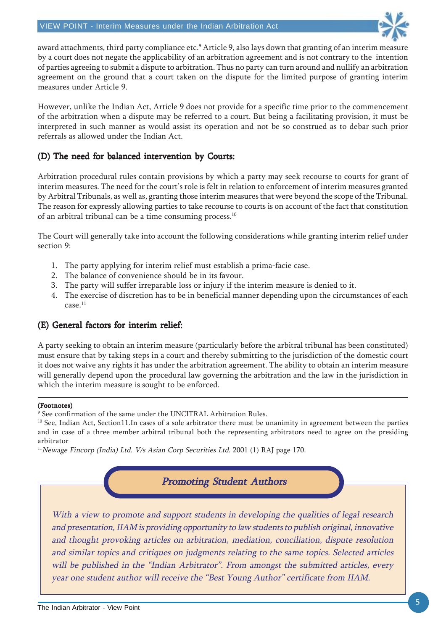

award attachments, third party compliance etc.<sup>9</sup> Article 9, also lays down that granting of an interim measure by a court does not negate the applicability of an arbitration agreement and is not contrary to the intention of parties agreeing to submit a dispute to arbitration. Thus no party can turn around and nullify an arbitration agreement on the ground that a court taken on the dispute for the limited purpose of granting interim measures under Article 9.

However, unlike the Indian Act, Article 9 does not provide for a specific time prior to the commencement of the arbitration when a dispute may be referred to a court. But being a facilitating provision, it must be interpreted in such manner as would assist its operation and not be so construed as to debar such prior referrals as allowed under the Indian Act.

## (D) The need for balanced intervention by Courts:

Arbitration procedural rules contain provisions by which a party may seek recourse to courts for grant of interim measures. The need for the court's role is felt in relation to enforcement of interim measures granted by Arbitral Tribunals, as well as, granting those interim measures that were beyond the scope of the Tribunal. The reason for expressly allowing parties to take recourse to courts is on account of the fact that constitution of an arbitral tribunal can be a time consuming process.<sup>10</sup>

The Court will generally take into account the following considerations while granting interim relief under section 9:

- 1. The party applying for interim relief must establish a prima-facie case.
- 2. The balance of convenience should be in its favour.
- 3. The party will suffer irreparable loss or injury if the interim measure is denied to it.
- 4. The exercise of discretion has to be in beneficial manner depending upon the circumstances of each case.11

### (E) General factors for interim relief:

A party seeking to obtain an interim measure (particularly before the arbitral tribunal has been constituted) must ensure that by taking steps in a court and thereby submitting to the jurisdiction of the domestic court it does not waive any rights it has under the arbitration agreement. The ability to obtain an interim measure will generally depend upon the procedural law governing the arbitration and the law in the jurisdiction in which the interim measure is sought to be enforced.

#### (Footnotes)

9 See confirmation of the same under the UNCITRAL Arbitration Rules.

 $10$  See, Indian Act, Section11.In cases of a sole arbitrator there must be unanimity in agreement between the parties and in case of a three member arbitral tribunal both the representing arbitrators need to agree on the presiding arbitrator

<sup>11</sup>Newage Fincorp (India) Ltd. V/s Asian Corp Securities Ltd. 2001 (1) RAJ page 170.

**Promoting Student Authors** 

With a view to promote and support students in developing the qualities of legal research and presentation, IIAM is providing opportunity to law students to publish original, innovative and thought provoking articles on arbitration, mediation, conciliation, dispute resolution and similar topics and critiques on judgments relating to the same topics. Selected articles will be published in the "Indian Arbitrator". From amongst the submitted articles, every year one student author will receive the "Best Young Author" certificate from IIAM.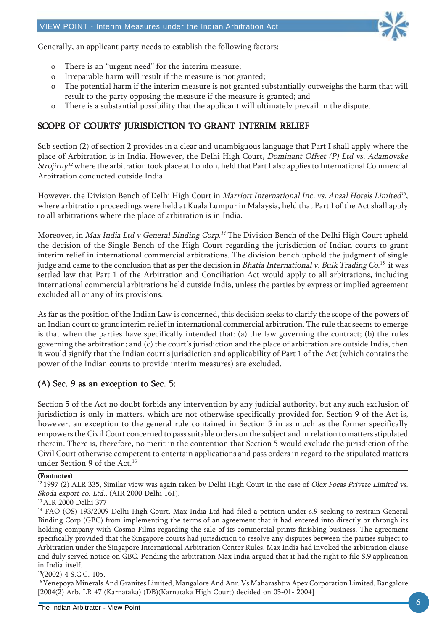

Generally, an applicant party needs to establish the following factors:

- o There is an "urgent need" for the interim measure;
- o Irreparable harm will result if the measure is not granted;
- o The potential harm if the interim measure is not granted substantially outweighs the harm that will result to the party opposing the measure if the measure is granted; and
- o There is a substantial possibility that the applicant will ultimately prevail in the dispute.

### SCOPE OF COURTS' JURISDICTION TO GRANT INTERIM RELIEF

Sub section (2) of section 2 provides in a clear and unambiguous language that Part I shall apply where the place of Arbitration is in India. However, the Delhi High Court, Dominant Offset (P) Ltd vs. Adamovske Strojirny<sup>12</sup> where the arbitration took place at London, held that Part I also applies to International Commercial Arbitration conducted outside India.

However, the Division Bench of Delhi High Court in Marriott International Inc. vs. Ansal Hotels Limited<sup>13</sup>, where arbitration proceedings were held at Kuala Lumpur in Malaysia, held that Part I of the Act shall apply to all arbitrations where the place of arbitration is in India.

Moreover, in *Max India Ltd v General Binding Corp.<sup>14</sup>* The Division Bench of the Delhi High Court upheld the decision of the Single Bench of the High Court regarding the jurisdiction of Indian courts to grant interim relief in international commercial arbitrations. The division bench uphold the judgment of single judge and came to the conclusion that as per the decision in *Bhatia International v. Bulk Trading Co*. <sup>15</sup> it was settled law that Part 1 of the Arbitration and Conciliation Act would apply to all arbitrations, including international commercial arbitrations held outside India, unless the parties by express or implied agreement excluded all or any of its provisions.

As far as the position of the Indian Law is concerned, this decision seeks to clarify the scope of the powers of an Indian court to grant interim relief in international commercial arbitration. The rule that seems to emerge is that when the parties have specifically intended that: (a) the law governing the contract; (b) the rules governing the arbitration; and (c) the court's jurisdiction and the place of arbitration are outside India, then it would signify that the Indian court's jurisdiction and applicability of Part 1 of the Act (which contains the power of the Indian courts to provide interim measures) are excluded.

### $(A)$  Sec. 9 as an exception to Sec. 5:

Section 5 of the Act no doubt forbids any intervention by any judicial authority, but any such exclusion of jurisdiction is only in matters, which are not otherwise specifically provided for. Section 9 of the Act is, however, an exception to the general rule contained in Section 5 in as much as the former specifically empowers the Civil Court concerned to pass suitable orders on the subject and in relation to matters stipulated therein. There is, therefore, no merit in the contention that Section 5 would exclude the jurisdiction of the Civil Court otherwise competent to entertain applications and pass orders in regard to the stipulated matters under Section 9 of the Act.<sup>16</sup>

#### (Footnotes)

 $12$  1997 (2) ALR 335, Similar view was again taken by Delhi High Court in the case of Olex Focas Private Limited vs. Skoda export co. Ltd., (AIR 2000 Delhi 161).

#### 13 AIR 2000 Delhi 377

<sup>14</sup> FAO (OS) 193/2009 Delhi High Court. Max India Ltd had filed a petition under s.9 seeking to restrain General Binding Corp (GBC) from implementing the terms of an agreement that it had entered into directly or through its holding company with Cosmo Films regarding the sale of its commercial prints finishing business. The agreement specifically provided that the Singapore courts had jurisdiction to resolve any disputes between the parties subject to Arbitration under the Singapore International Arbitration Center Rules. Max India had invoked the arbitration clause and duly served notice on GBC. Pending the arbitration Max India argued that it had the right to file S.9 application in India itself.

15(2002) 4 S.C.C. 105.

<sup>16</sup> Yenepoya Minerals And Granites Limited, Mangalore And Anr. Vs Maharashtra Apex Corporation Limited, Bangalore [2004(2) Arb. LR 47 (Karnataka) (DB)(Karnataka High Court) decided on 05-01- 2004]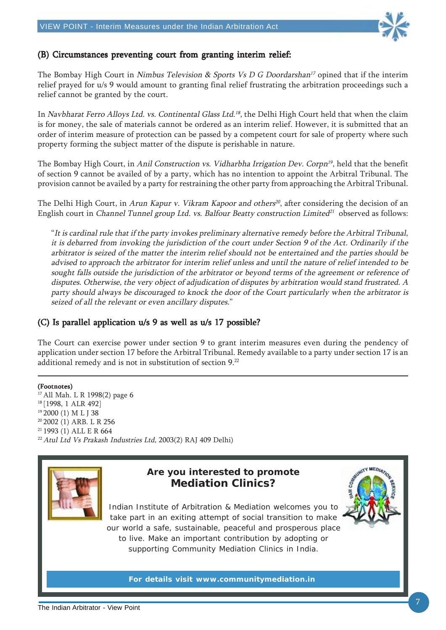

#### (B) Circumstances preventing court from granting interim relief:

The Bombay High Court in Nimbus Television & Sports Vs D G Doordarshan<sup>17</sup> opined that if the interim relief prayed for u/s 9 would amount to granting final relief frustrating the arbitration proceedings such a relief cannot be granted by the court.

In *Navbharat Ferro Alloys Ltd. vs. Continental Glass Ltd.'<sup>8</sup>, the Delhi High Court held that when the claim* is for money, the sale of materials cannot be ordered as an interim relief. However, it is submitted that an order of interim measure of protection can be passed by a competent court for sale of property where such property forming the subject matter of the dispute is perishable in nature.

The Bombay High Court, in Anil Construction vs. Vidharbha Irrigation Dev. Corpn<sup>19</sup>, held that the benefit of section 9 cannot be availed of by a party, which has no intention to appoint the Arbitral Tribunal. The provision cannot be availed by a party for restraining the other party from approaching the Arbitral Tribunal.

The Delhi High Court, in Arun Kapur v. Vikram Kapoor and others<sup>20</sup>, after considering the decision of an English court in Channel Tunnel group Ltd. vs. Balfour Beatty construction Limited<sup>21</sup> observed as follows:

"It is cardinal rule that if the party invokes preliminary alternative remedy before the Arbitral Tribunal, it is debarred from invoking the jurisdiction of the court under Section 9 of the Act. Ordinarily if the arbitrator is seized of the matter the interim relief should not be entertained and the parties should be advised to approach the arbitrator for interim relief unless and until the nature of relief intended to be sought falls outside the jurisdiction of the arbitrator or beyond terms of the agreement or reference of disputes. Otherwise, the very object of adjudication of disputes by arbitration would stand frustrated. A party should always be discouraged to knock the door of the Court particularly when the arbitrator is seized of all the relevant or even ancillary disputes."

#### (C) Is parallel application  $u/s$  9 as well as  $u/s$  17 possible?

The Court can exercise power under section 9 to grant interim measures even during the pendency of application under section 17 before the Arbitral Tribunal. Remedy available to a party under section 17 is an additional remedy and is not in substitution of section 9.22

(Footnotes) 17 All Mah. L R 1998(2) page 6 18 [1998, 1 ALR 492] <sup>19</sup> 2000 (1) M L J 38 20 2002 (1) ARB. L R 256 21 1993 (1) ALL E R 664 <sup>22</sup> Atul Ltd Vs Prakash Industries Ltd, 2003(2) RAJ 409 Delhi)



## **Are you interested to promote Mediation Clinics?**

Indian Institute of Arbitration & Mediation welcomes you to take part in an exiting attempt of social transition to make our world a safe, sustainable, peaceful and prosperous place to live. Make an important contribution by adopting or supporting Community Mediation Clinics in India.

**For details visit www.communitymediation.in**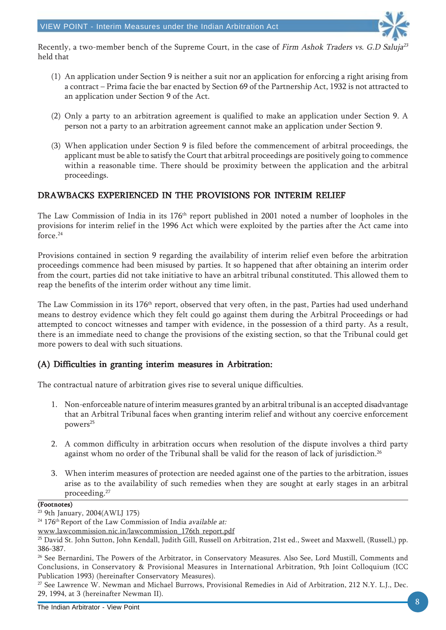

Recently, a two-member bench of the Supreme Court, in the case of Firm Ashok Traders vs. G.D Saluja<sup>23</sup> held that

- (1) An application under Section 9 is neither a suit nor an application for enforcing a right arising from a contract – Prima facie the bar enacted by Section 69 of the Partnership Act, 1932 is not attracted to an application under Section 9 of the Act.
- (2) Only a party to an arbitration agreement is qualified to make an application under Section 9. A person not a party to an arbitration agreement cannot make an application under Section 9.
- (3) When application under Section 9 is filed before the commencement of arbitral proceedings, the applicant must be able to satisfy the Court that arbitral proceedings are positively going to commence within a reasonable time. There should be proximity between the application and the arbitral proceedings.

## DRAWBACKS EXPERIENCED IN THE PROVISIONS FOR INTERIM RELIEF

The Law Commission of India in its 176<sup>th</sup> report published in 2001 noted a number of loopholes in the provisions for interim relief in the 1996 Act which were exploited by the parties after the Act came into force.24

Provisions contained in section 9 regarding the availability of interim relief even before the arbitration proceedings commence had been misused by parties. It so happened that after obtaining an interim order from the court, parties did not take initiative to have an arbitral tribunal constituted. This allowed them to reap the benefits of the interim order without any time limit.

The Law Commission in its 176<sup>th</sup> report, observed that very often, in the past, Parties had used underhand means to destroy evidence which they felt could go against them during the Arbitral Proceedings or had attempted to concoct witnesses and tamper with evidence, in the possession of a third party. As a result, there is an immediate need to change the provisions of the existing section, so that the Tribunal could get more powers to deal with such situations.

### (A) Difficulties in granting interim measures in Arbitration: (A) Difficulties in granting measures in

The contractual nature of arbitration gives rise to several unique difficulties.

- 1. Non-enforceable nature of interim measures granted by an arbitral tribunal is an accepted disadvantage that an Arbitral Tribunal faces when granting interim relief and without any coercive enforcement powers<sup>25</sup>
- 2. A common difficulty in arbitration occurs when resolution of the dispute involves a third party against whom no order of the Tribunal shall be valid for the reason of lack of jurisdiction.<sup>26</sup>
- 3. When interim measures of protection are needed against one of the parties to the arbitration, issues arise as to the availability of such remedies when they are sought at early stages in an arbitral proceeding.27

#### (Footnotes)

<sup>23 9</sup>th January, 2004(AWLJ 175)

<sup>&</sup>lt;sup>24</sup> 176<sup>th</sup> Report of the Law Commission of India available at:

www.lawcommission.nic.in/lawcommission\_176th report.pdf

<sup>25</sup> David St. John Sutton, John Kendall, Judith Gill, Russell on Arbitration, 21st ed., Sweet and Maxwell, (Russell,) pp. 386-387.

<sup>&</sup>lt;sup>26</sup> See Bernardini, The Powers of the Arbitrator, in Conservatory Measures. Also See, Lord Mustill, Comments and Conclusions, in Conservatory & Provisional Measures in International Arbitration, 9th Joint Colloquium (ICC Publication 1993) (hereinafter Conservatory Measures).

<sup>&</sup>lt;sup>27</sup> See Lawrence W. Newman and Michael Burrows, Provisional Remedies in Aid of Arbitration, 212 N.Y. L.J., Dec. 29, 1994, at 3 (hereinafter Newman II).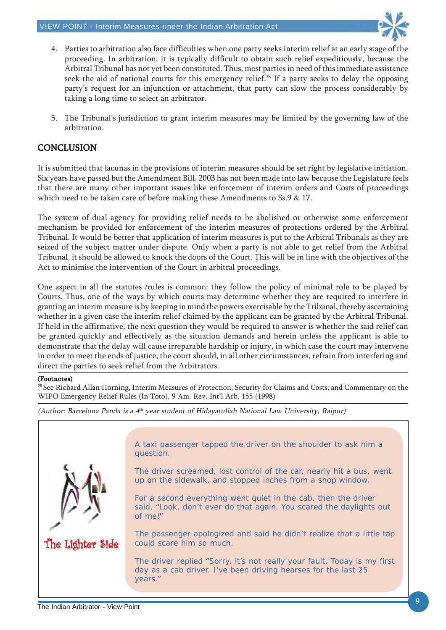

- 4. Parties to arbitration also face difficulties when one party seeks interim relief at an early stage of the proceeding. In arbitration, it is typically difficult to obtain such relief expeditiously, because the Arbitral Tribunal has not yet been constituted. Thus, most parties in need of this immediate assistance seek the aid of national courts for this emergency relief.<sup>28</sup> If a party seeks to delay the opposing party's request for an injunction or attachment, that party can slow the process considerably by taking a long time to select an arbitrator.
- 5. The Tribunal's jurisdiction to grant interim measures may be limited by the governing law of the arbitration.

### **CONCLUSION**

It is submitted that lacunas in the provisions of interim measures should be set right by legislative initiation. Six years have passed but the Amendment Bill, 2003 has not been made into law because the Legislature feels that there are many other important issues like enforcement of interim orders and Costs of proceedings which need to be taken care of before making these Amendments to Ss.9 & 17.

The system of dual agency for providing relief needs to be abolished or otherwise some enforcement mechanism be provided for enforcement of the interim measures of protections ordered by the Arbitral Tribunal. It would be better that application of interim measures is put to the Arbitral Tribunals as they are seized of the subject matter under dispute. Only when a party is not able to get relief from the Arbitral Tribunal, it should be allowed to knock the doors of the Court. This will be in line with the objectives of the Act to minimise the intervention of the Court in arbitral proceedings.

One aspect in all the statutes /rules is common: they follow the policy of minimal role to be played by Courts. Thus, one of the ways by which courts may determine whether they are required to interfere in granting an interim measure is by keeping in mind the powers exercisable by the Tribunal, thereby ascertaining whether in a given case the interim relief claimed by the applicant can be granted by the Arbitral Tribunal. If held in the affirmative, the next question they would be required to answer is whether the said relief can be granted quickly and effectively as the situation demands and herein unless the applicant is able to demonstrate that the delay will cause irreparable hardship or injury, in which case the court may intervene in order to meet the ends of justice, the court should, in all other circumstances, refrain from interfering and direct the parties to seek relief from the Arbitrators.

#### (Footnotes)

<sup>28</sup> See Richard Allan Horning, Interim Measures of Protection; Security for Claims and Costs; and Commentary on the WIPO Emergency Relief Rules (In Toto), 9 Am. Rev. Int'l Arb. 155 (1998)

(Author: Barcelona Panda is a 4th year student of Hidayatullah National Law University, Raipur)

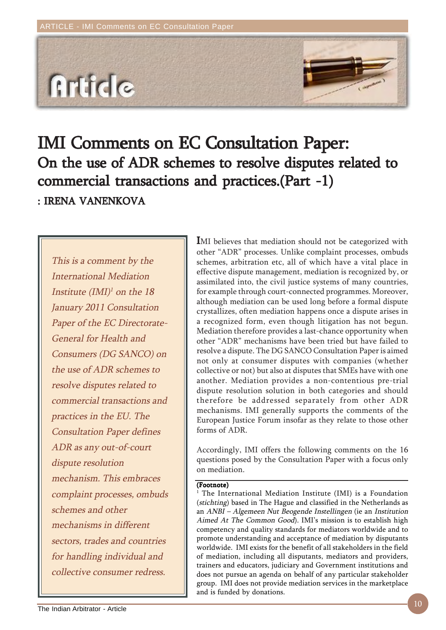

# IMI Comments on EC Consultation Paper: On the use of ADR schemes to resolve disputes related to commercial transactions and practices.(Part -1) : IRENA VANENKOVA

This is a comment by the International Mediation Institute  $(IMI)^{1}$  on the 18 January 2011 Consultation Paper of the EC Directorate-General for Health and Consumers (DG SANCO) on the use of ADR schemes to resolve disputes related to commercial transactions and practices in the EU. The Consultation Paper defines ADR as any out-of-court dispute resolution mechanism. This embraces complaint processes, ombuds schemes and other mechanisms in different sectors, trades and countries for handling individual and collective consumer redress.

IMI believes that mediation should not be categorized with other "ADR" processes. Unlike complaint processes, ombuds schemes, arbitration etc, all of which have a vital place in effective dispute management, mediation is recognized by, or assimilated into, the civil justice systems of many countries, for example through court-connected programmes. Moreover, although mediation can be used long before a formal dispute crystallizes, often mediation happens once a dispute arises in a recognized form, even though litigation has not begun. Mediation therefore provides a last-chance opportunity when other "ADR" mechanisms have been tried but have failed to resolve a dispute. The DG SANCO Consultation Paper is aimed not only at consumer disputes with companies (whether collective or not) but also at disputes that SMEs have with one another. Mediation provides a non-contentious pre-trial dispute resolution solution in both categories and should therefore be addressed separately from other ADR mechanisms. IMI generally supports the comments of the European Justice Forum insofar as they relate to those other forms of ADR.

Accordingly, IMI offers the following comments on the 16 questions posed by the Consultation Paper with a focus only on mediation.

#### (Footnote)

<sup>1</sup> The International Mediation Institute (IMI) is a Foundation (stichting) based in The Hague and classified in the Netherlands as an ANBI – Algemeen Nut Beogende Instellingen (ie an Institution Aimed At The Common Good). IMI's mission is to establish high competency and quality standards for mediators worldwide and to promote understanding and acceptance of mediation by disputants worldwide. IMI exists for the benefit of all stakeholders in the field of mediation, including all disputants, mediators and providers, trainers and educators, judiciary and Government institutions and does not pursue an agenda on behalf of any particular stakeholder group. IMI does not provide mediation services in the marketplace and is funded by donations.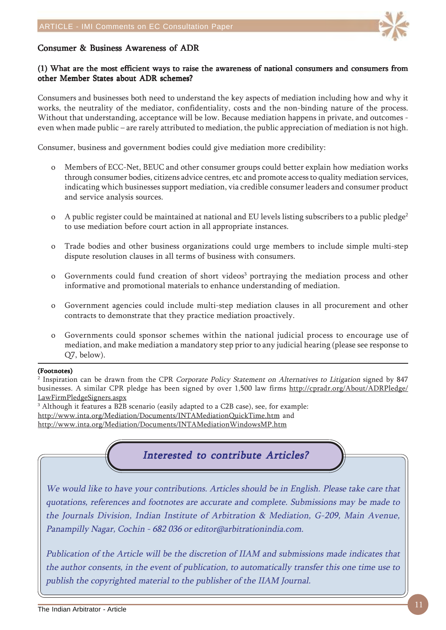

#### Consumer & Business Awareness of ADR

#### (1) What are the most efficient ways to raise the awareness of national consumers and consumers from other Member States about ADR schemes?

Consumers and businesses both need to understand the key aspects of mediation including how and why it works, the neutrality of the mediator, confidentiality, costs and the non-binding nature of the process. Without that understanding, acceptance will be low. Because mediation happens in private, and outcomes even when made public – are rarely attributed to mediation, the public appreciation of mediation is not high.

Consumer, business and government bodies could give mediation more credibility:

- Members of ECC-Net, BEUC and other consumer groups could better explain how mediation works through consumer bodies, citizens advice centres, etc and promote access to quality mediation services, indicating which businesses support mediation, via credible consumer leaders and consumer product and service analysis sources.
- o A public register could be maintained at national and EU levels listing subscribers to a public pledge<sup>2</sup> to use mediation before court action in all appropriate instances.
- o Trade bodies and other business organizations could urge members to include simple multi-step dispute resolution clauses in all terms of business with consumers.
- o Governments could fund creation of short videos<sup>3</sup> portraying the mediation process and other informative and promotional materials to enhance understanding of mediation.
- o Government agencies could include multi-step mediation clauses in all procurement and other contracts to demonstrate that they practice mediation proactively.
- o Governments could sponsor schemes within the national judicial process to encourage use of mediation, and make mediation a mandatory step prior to any judicial hearing (please see response to Q7, below).

#### (Footnotes)

2 Inspiration can be drawn from the CPR Corporate Policy Statement on Alternatives to Litigation signed by 847 businesses. A similar CPR pledge has been signed by over 1,500 law firms http://cpradr.org/About/ADRPledge/ LawFirmPledgeSigners.aspx

 $^{\rm 3}$  Although it features a B2B scenario (easily adapted to a C2B case), see, for example: http://www.inta.org/Mediation/Documents/INTAMediationQuickTime.htm and http://www.inta.org/Mediation/Documents/INTAMediationWindowsMP.htm

## Interested to contribute Articles?

We would like to have your contributions. Articles should be in English. Please take care that quotations, references and footnotes are accurate and complete. Submissions may be made to the Journals Division, Indian Institute of Arbitration & Mediation, G-209, Main Avenue, Panampilly Nagar, Cochin - 682 036 or editor@arbitrationindia.com.

Publication of the Article will be the discretion of IIAM and submissions made indicates that the author consents, in the event of publication, to automatically transfer this one time use to publish the copyrighted material to the publisher of the IIAM Journal.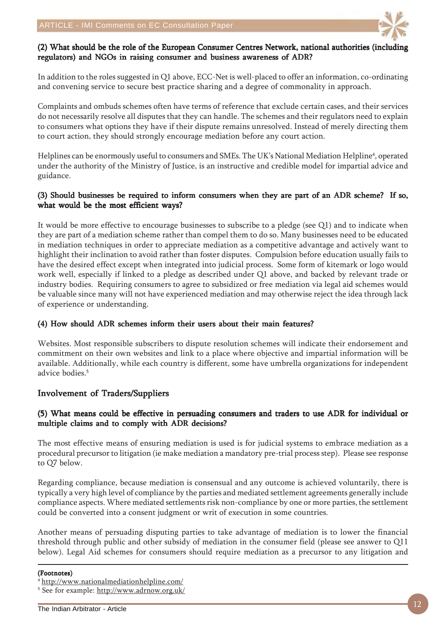

#### (2) What should be the role of the European Consumer Centres Network, national authorities (including regulators) and NGOs in raising consumer and business awareness of ADR?

In addition to the roles suggested in Q1 above, ECC-Net is well-placed to offer an information, co-ordinating and convening service to secure best practice sharing and a degree of commonality in approach.

Complaints and ombuds schemes often have terms of reference that exclude certain cases, and their services do not necessarily resolve all disputes that they can handle. The schemes and their regulators need to explain to consumers what options they have if their dispute remains unresolved. Instead of merely directing them to court action, they should strongly encourage mediation before any court action.

Helplines can be enormously useful to consumers and SMEs. The UK's National Mediation Helpline<sup>4</sup>, operated under the authority of the Ministry of Justice, is an instructive and credible model for impartial advice and guidance.

#### (3) Should businesses be required to inform consumers when they are part of an ADR scheme? If so, what would be the most efficient ways?

It would be more effective to encourage businesses to subscribe to a pledge (see Q1) and to indicate when they are part of a mediation scheme rather than compel them to do so. Many businesses need to be educated in mediation techniques in order to appreciate mediation as a competitive advantage and actively want to highlight their inclination to avoid rather than foster disputes. Compulsion before education usually fails to have the desired effect except when integrated into judicial process. Some form of kitemark or logo would work well, especially if linked to a pledge as described under Q1 above, and backed by relevant trade or industry bodies. Requiring consumers to agree to subsidized or free mediation via legal aid schemes would be valuable since many will not have experienced mediation and may otherwise reject the idea through lack of experience or understanding.

#### (4) How should ADR schemes inform their users about their main features?

Websites. Most responsible subscribers to dispute resolution schemes will indicate their endorsement and commitment on their own websites and link to a place where objective and impartial information will be available. Additionally, while each country is different, some have umbrella organizations for independent advice bodies.<sup>5</sup>

### Involvement of Traders/Suppliers

#### (5) What means could be effective in persuading consumers and traders to use ADR for individual or multiple claims and to comply with ADR decisions?

The most effective means of ensuring mediation is used is for judicial systems to embrace mediation as a procedural precursor to litigation (ie make mediation a mandatory pre-trial process step). Please see response to Q7 below.

Regarding compliance, because mediation is consensual and any outcome is achieved voluntarily, there is typically a very high level of compliance by the parties and mediated settlement agreements generally include compliance aspects. Where mediated settlements risk non-compliance by one or more parties, the settlement could be converted into a consent judgment or writ of execution in some countries.

Another means of persuading disputing parties to take advantage of mediation is to lower the financial threshold through public and other subsidy of mediation in the consumer field (please see answer to Q11 below). Legal Aid schemes for consumers should require mediation as a precursor to any litigation and

#### (Footnotes)

<sup>4</sup> http://www.nationalmediationhelpline.com/

<sup>&</sup>lt;sup>5</sup> See for example: <u>http://www.adrnow.org.uk/</u>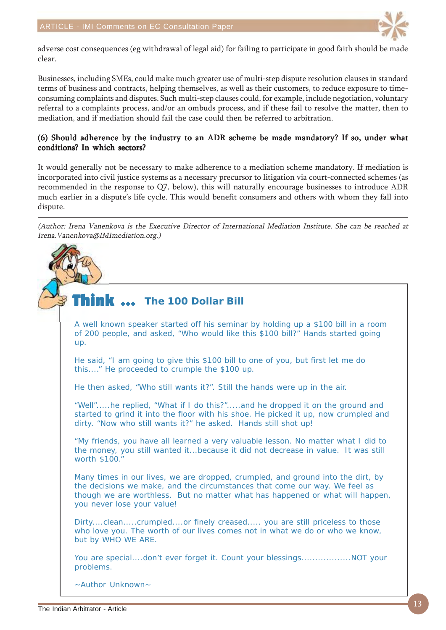

adverse cost consequences (eg withdrawal of legal aid) for failing to participate in good faith should be made clear.

Businesses, including SMEs, could make much greater use of multi-step dispute resolution clauses in standard terms of business and contracts, helping themselves, as well as their customers, to reduce exposure to timeconsuming complaints and disputes. Such multi-step clauses could, for example, include negotiation, voluntary referral to a complaints process, and/or an ombuds process, and if these fail to resolve the matter, then to mediation, and if mediation should fail the case could then be referred to arbitration.

#### (6) Should adherence by the industry to an ADR scheme be made mandatory? If so, under what conditions? In which sectors?

It would generally not be necessary to make adherence to a mediation scheme mandatory. If mediation is incorporated into civil justice systems as a necessary precursor to litigation via court-connected schemes (as recommended in the response to Q7, below), this will naturally encourage businesses to introduce ADR much earlier in a dispute's life cycle. This would benefit consumers and others with whom they fall into dispute.

(Author: Irena Vanenkova is the Executive Director of International Mediation Institute. She can be reached at Irena.Vanenkova@IMImediation.org.)

#### Think  $\ldots$ **The 100 Dollar Bill**

A well known speaker started off his seminar by holding up a \$100 bill in a room of 200 people, and asked, "Who would like this \$100 bill?" Hands started going up.

He said, "I am going to give this \$100 bill to one of you, but first let me do this...." He proceeded to crumple the \$100 up.

He then asked, "Who still wants it?". Still the hands were up in the air.

"Well".....he replied, "What if I do this?".....and he dropped it on the ground and started to grind it into the floor with his shoe. He picked it up, now crumpled and dirty. "Now who still wants it?" he asked. Hands still shot up!

"My friends, you have all learned a very valuable lesson. No matter what I did to the money, you still wanted it...because it did not decrease in value. It was still worth \$100."

Many times in our lives, we are dropped, crumpled, and ground into the dirt, by the decisions we make, and the circumstances that come our way. We feel as though we are worthless. But no matter what has happened or what will happen, you never lose your value!

Dirty....clean.....crumpled....or finely creased..... you are still priceless to those who love you. The worth of our lives comes not in what we do or who we know, but by WHO WE ARE.

You are special....don't ever forget it. Count your blessings.....................NOT your problems.

~Author Unknown~